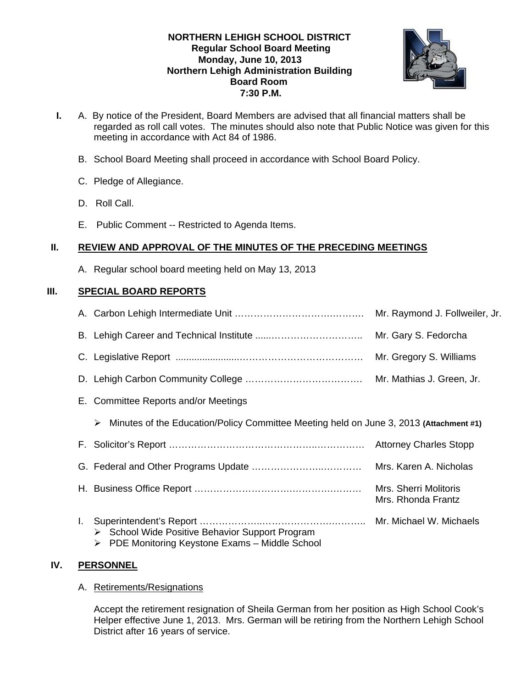# **NORTHERN LEHIGH SCHOOL DISTRICT Regular School Board Meeting Monday, June 10, 2013 Northern Lehigh Administration Building Board Room 7:30 P.M.**



- **I.** A. By notice of the President, Board Members are advised that all financial matters shall be regarded as roll call votes. The minutes should also note that Public Notice was given for this meeting in accordance with Act 84 of 1986.
	- B. School Board Meeting shall proceed in accordance with School Board Policy.
	- C. Pledge of Allegiance.
	- D. Roll Call.
	- E. Public Comment -- Restricted to Agenda Items.

# **II. REVIEW AND APPROVAL OF THE MINUTES OF THE PRECEDING MEETINGS**

A. Regular school board meeting held on May 13, 2013

# **III. SPECIAL BOARD REPORTS**

|                                                                                                                | Mr. Raymond J. Follweiler, Jr.              |
|----------------------------------------------------------------------------------------------------------------|---------------------------------------------|
|                                                                                                                | Mr. Gary S. Fedorcha                        |
|                                                                                                                | Mr. Gregory S. Williams                     |
|                                                                                                                |                                             |
| E. Committee Reports and/or Meetings                                                                           |                                             |
| Minutes of the Education/Policy Committee Meeting held on June 3, 2013 (Attachment #1)<br>➤                    |                                             |
|                                                                                                                | <b>Attorney Charles Stopp</b>               |
|                                                                                                                | Mrs. Karen A. Nicholas                      |
|                                                                                                                | Mrs. Sherri Molitoris<br>Mrs. Rhonda Frantz |
| L.<br>School Wide Positive Behavior Support Program<br>➤<br>PDE Monitoring Keystone Exams - Middle School<br>➤ |                                             |

# **IV. PERSONNEL**

A. Retirements/Resignations

Accept the retirement resignation of Sheila German from her position as High School Cook's Helper effective June 1, 2013. Mrs. German will be retiring from the Northern Lehigh School District after 16 years of service.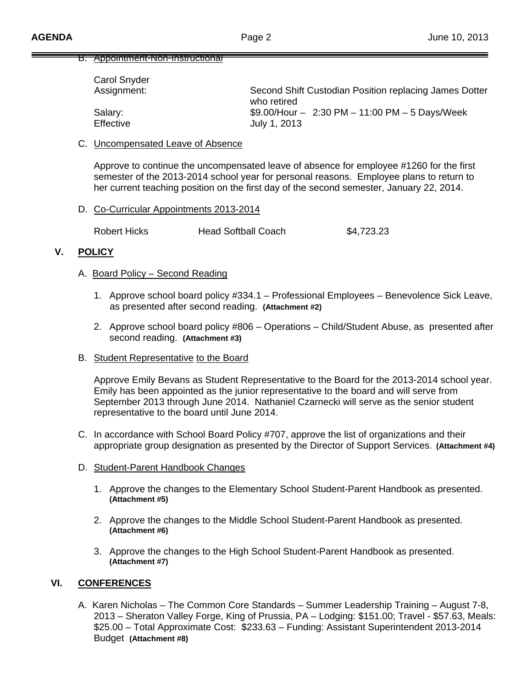### B. Appointment-Non-Instructional

| <b>Carol Snyder</b> |                                                                       |
|---------------------|-----------------------------------------------------------------------|
| Assignment:         | Second Shift Custodian Position replacing James Dotter<br>who retired |
| Salary:             | $$9.00/H$ our - 2:30 PM - 11:00 PM - 5 Days/Week                      |
| <b>Effective</b>    | July 1, 2013                                                          |

#### C. Uncompensated Leave of Absence

Approve to continue the uncompensated leave of absence for employee #1260 for the first semester of the 2013-2014 school year for personal reasons. Employee plans to return to her current teaching position on the first day of the second semester, January 22, 2014.

### D. Co-Curricular Appointments 2013-2014

Robert Hicks **Head Softball Coach** \$4,723.23

# **V. POLICY**

### A. Board Policy – Second Reading

- 1. Approve school board policy #334.1 Professional Employees Benevolence Sick Leave, as presented after second reading. **(Attachment #2)**
- 2. Approve school board policy #806 Operations Child/Student Abuse, as presented after second reading. **(Attachment #3)**
- B. Student Representative to the Board

Approve Emily Bevans as Student Representative to the Board for the 2013-2014 school year. Emily has been appointed as the junior representative to the board and will serve from September 2013 through June 2014. Nathaniel Czarnecki will serve as the senior student representative to the board until June 2014.

- C. In accordance with School Board Policy #707, approve the list of organizations and their appropriate group designation as presented by the Director of Support Services. **(Attachment #4)**
- D. Student-Parent Handbook Changes
	- 1. Approve the changes to the Elementary School Student-Parent Handbook as presented. **(Attachment #5)**
	- 2. Approve the changes to the Middle School Student-Parent Handbook as presented. **(Attachment #6)**
	- 3. Approve the changes to the High School Student-Parent Handbook as presented. **(Attachment #7)**

### **VI. CONFERENCES**

A. Karen Nicholas – The Common Core Standards – Summer Leadership Training – August 7-8, 2013 – Sheraton Valley Forge, King of Prussia, PA – Lodging: \$151.00; Travel - \$57.63, Meals: \$25.00 – Total Approximate Cost: \$233.63 – Funding: Assistant Superintendent 2013-2014 Budget **(Attachment #8)**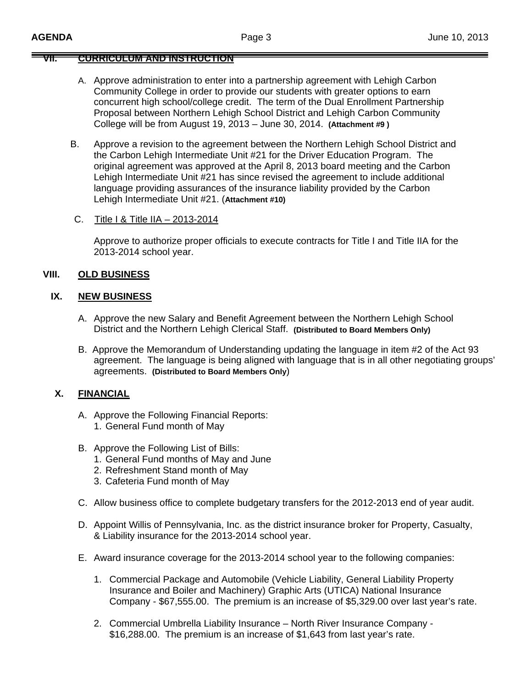# **VII. CURRICULUM AND INSTRUCTION**

- A. Approve administration to enter into a partnership agreement with Lehigh Carbon Community College in order to provide our students with greater options to earn concurrent high school/college credit. The term of the Dual Enrollment Partnership Proposal between Northern Lehigh School District and Lehigh Carbon Community College will be from August 19, 2013 – June 30, 2014. **(Attachment #9 )**
- B. Approve a revision to the agreement between the Northern Lehigh School District and the Carbon Lehigh Intermediate Unit #21 for the Driver Education Program. The original agreement was approved at the April 8, 2013 board meeting and the Carbon Lehigh Intermediate Unit #21 has since revised the agreement to include additional language providing assurances of the insurance liability provided by the Carbon Lehigh Intermediate Unit #21. (**Attachment #10)**
- C. Title I & Title IIA 2013-2014

 Approve to authorize proper officials to execute contracts for Title I and Title IIA for the 2013-2014 school year.

# **VIII. OLD BUSINESS**

### **IX. NEW BUSINESS**

- A. Approve the new Salary and Benefit Agreement between the Northern Lehigh School District and the Northern Lehigh Clerical Staff. **(Distributed to Board Members Only)**
- B. Approve the Memorandum of Understanding updating the language in item #2 of the Act 93 agreement. The language is being aligned with language that is in all other negotiating groups' agreements. **(Distributed to Board Members Only**)

# **X. FINANCIAL**

- A. Approve the Following Financial Reports: 1. General Fund month of May
- B. Approve the Following List of Bills:
	- 1. General Fund months of May and June
	- 2. Refreshment Stand month of May
	- 3. Cafeteria Fund month of May
- C. Allow business office to complete budgetary transfers for the 2012-2013 end of year audit.
- D. Appoint Willis of Pennsylvania, Inc. as the district insurance broker for Property, Casualty, & Liability insurance for the 2013-2014 school year.
- E. Award insurance coverage for the 2013-2014 school year to the following companies:
	- 1. Commercial Package and Automobile (Vehicle Liability, General Liability Property Insurance and Boiler and Machinery) Graphic Arts (UTICA) National Insurance Company - \$67,555.00. The premium is an increase of \$5,329.00 over last year's rate.
	- 2. Commercial Umbrella Liability Insurance North River Insurance Company \$16,288.00. The premium is an increase of \$1,643 from last year's rate.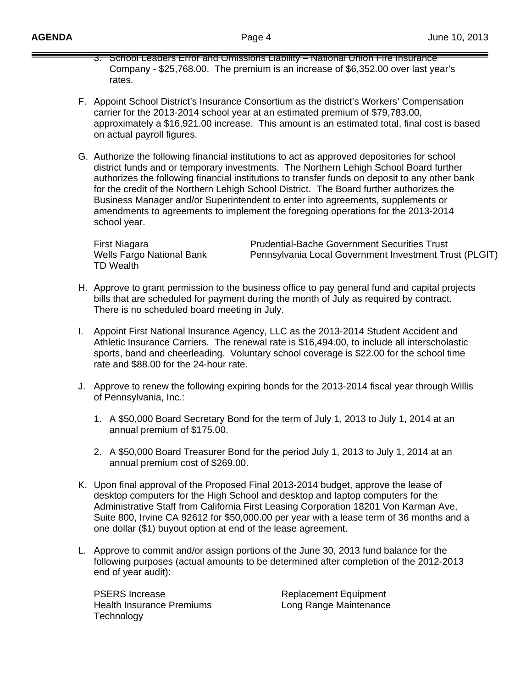- 3. School Leaders Error and Omissions Liability National Union Fire Insurance Company - \$25,768.00. The premium is an increase of \$6,352.00 over last year's rates.
- F. Appoint School District's Insurance Consortium as the district's Workers' Compensation carrier for the 2013-2014 school year at an estimated premium of \$79,783.00, approximately a \$16,921.00 increase. This amount is an estimated total, final cost is based on actual payroll figures.
- G. Authorize the following financial institutions to act as approved depositories for school district funds and or temporary investments. The Northern Lehigh School Board further authorizes the following financial institutions to transfer funds on deposit to any other bank for the credit of the Northern Lehigh School District. The Board further authorizes the Business Manager and/or Superintendent to enter into agreements, supplements or amendments to agreements to implement the foregoing operations for the 2013-2014 school year.

TD Wealth

First Niagara **Prudential-Bache Government Securities Trust** Wells Fargo National Bank Pennsylvania Local Government Investment Trust (PLGIT)

- H. Approve to grant permission to the business office to pay general fund and capital projects bills that are scheduled for payment during the month of July as required by contract. There is no scheduled board meeting in July.
- I. Appoint First National Insurance Agency, LLC as the 2013-2014 Student Accident and Athletic Insurance Carriers. The renewal rate is \$16,494.00, to include all interscholastic sports, band and cheerleading. Voluntary school coverage is \$22.00 for the school time rate and \$88.00 for the 24-hour rate.
- J. Approve to renew the following expiring bonds for the 2013-2014 fiscal year through Willis of Pennsylvania, Inc.:
	- 1. A \$50,000 Board Secretary Bond for the term of July 1, 2013 to July 1, 2014 at an annual premium of \$175.00.
	- 2. A \$50,000 Board Treasurer Bond for the period July 1, 2013 to July 1, 2014 at an annual premium cost of \$269.00.
- K. Upon final approval of the Proposed Final 2013-2014 budget, approve the lease of desktop computers for the High School and desktop and laptop computers for the Administrative Staff from California First Leasing Corporation 18201 Von Karman Ave, Suite 800, Irvine CA 92612 for \$50,000.00 per year with a lease term of 36 months and a one dollar (\$1) buyout option at end of the lease agreement.
- L. Approve to commit and/or assign portions of the June 30, 2013 fund balance for the following purposes (actual amounts to be determined after completion of the 2012-2013 end of year audit):

PSERS Increase Replacement Equipment Health Insurance Premiums **Long Range Maintenance Technology**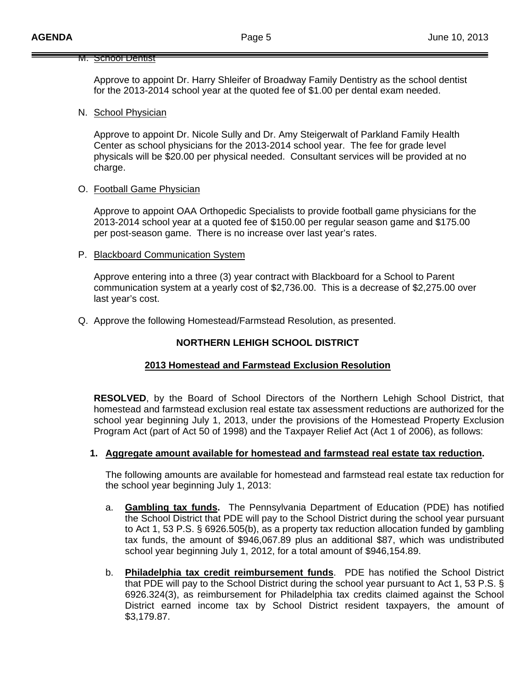#### **M. School Dentist**

Approve to appoint Dr. Harry Shleifer of Broadway Family Dentistry as the school dentist for the 2013-2014 school year at the quoted fee of \$1.00 per dental exam needed.

#### N. School Physician

Approve to appoint Dr. Nicole Sully and Dr. Amy Steigerwalt of Parkland Family Health Center as school physicians for the 2013-2014 school year. The fee for grade level physicals will be \$20.00 per physical needed. Consultant services will be provided at no charge.

### O. Football Game Physician

Approve to appoint OAA Orthopedic Specialists to provide football game physicians for the 2013-2014 school year at a quoted fee of \$150.00 per regular season game and \$175.00 per post-season game. There is no increase over last year's rates.

### P. Blackboard Communication System

Approve entering into a three (3) year contract with Blackboard for a School to Parent communication system at a yearly cost of \$2,736.00. This is a decrease of \$2,275.00 over last year's cost.

Q. Approve the following Homestead/Farmstead Resolution, as presented.

## **NORTHERN LEHIGH SCHOOL DISTRICT**

### **2013 Homestead and Farmstead Exclusion Resolution**

**RESOLVED**, by the Board of School Directors of the Northern Lehigh School District, that homestead and farmstead exclusion real estate tax assessment reductions are authorized for the school year beginning July 1, 2013, under the provisions of the Homestead Property Exclusion Program Act (part of Act 50 of 1998) and the Taxpayer Relief Act (Act 1 of 2006), as follows:

### **1. Aggregate amount available for homestead and farmstead real estate tax reduction.**

The following amounts are available for homestead and farmstead real estate tax reduction for the school year beginning July 1, 2013:

- a. **Gambling tax funds.** The Pennsylvania Department of Education (PDE) has notified the School District that PDE will pay to the School District during the school year pursuant to Act 1, 53 P.S. § 6926.505(b), as a property tax reduction allocation funded by gambling tax funds, the amount of \$946,067.89 plus an additional \$87, which was undistributed school year beginning July 1, 2012, for a total amount of \$946,154.89.
- b. **Philadelphia tax credit reimbursement funds**. PDE has notified the School District that PDE will pay to the School District during the school year pursuant to Act 1, 53 P.S. § 6926.324(3), as reimbursement for Philadelphia tax credits claimed against the School District earned income tax by School District resident taxpayers, the amount of \$3,179.87.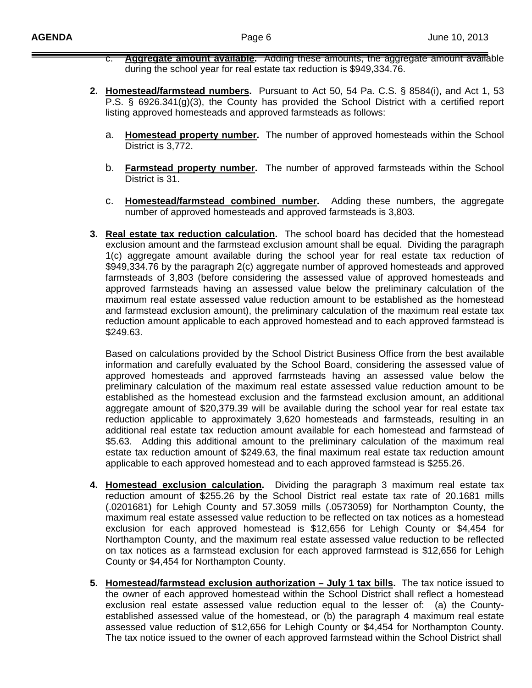- c. **Aggregate amount available.** Adding these amounts, the aggregate amount available during the school year for real estate tax reduction is \$949,334.76.
- **2. Homestead/farmstead numbers.** Pursuant to Act 50, 54 Pa. C.S. § 8584(i), and Act 1, 53 P.S. § 6926.341(g)(3), the County has provided the School District with a certified report listing approved homesteads and approved farmsteads as follows:
	- a. **Homestead property number.** The number of approved homesteads within the School District is 3,772.
	- b. **Farmstead property number.** The number of approved farmsteads within the School District is 31.
	- c. **Homestead/farmstead combined number.** Adding these numbers, the aggregate number of approved homesteads and approved farmsteads is 3,803.
- **3. Real estate tax reduction calculation.** The school board has decided that the homestead exclusion amount and the farmstead exclusion amount shall be equal. Dividing the paragraph 1(c) aggregate amount available during the school year for real estate tax reduction of \$949,334.76 by the paragraph 2(c) aggregate number of approved homesteads and approved farmsteads of 3,803 (before considering the assessed value of approved homesteads and approved farmsteads having an assessed value below the preliminary calculation of the maximum real estate assessed value reduction amount to be established as the homestead and farmstead exclusion amount), the preliminary calculation of the maximum real estate tax reduction amount applicable to each approved homestead and to each approved farmstead is \$249.63.

Based on calculations provided by the School District Business Office from the best available information and carefully evaluated by the School Board, considering the assessed value of approved homesteads and approved farmsteads having an assessed value below the preliminary calculation of the maximum real estate assessed value reduction amount to be established as the homestead exclusion and the farmstead exclusion amount, an additional aggregate amount of \$20,379.39 will be available during the school year for real estate tax reduction applicable to approximately 3,620 homesteads and farmsteads, resulting in an additional real estate tax reduction amount available for each homestead and farmstead of \$5.63. Adding this additional amount to the preliminary calculation of the maximum real estate tax reduction amount of \$249.63, the final maximum real estate tax reduction amount applicable to each approved homestead and to each approved farmstead is \$255.26.

- **4. Homestead exclusion calculation.** Dividing the paragraph 3 maximum real estate tax reduction amount of \$255.26 by the School District real estate tax rate of 20.1681 mills (.0201681) for Lehigh County and 57.3059 mills (.0573059) for Northampton County, the maximum real estate assessed value reduction to be reflected on tax notices as a homestead exclusion for each approved homestead is \$12,656 for Lehigh County or \$4,454 for Northampton County, and the maximum real estate assessed value reduction to be reflected on tax notices as a farmstead exclusion for each approved farmstead is \$12,656 for Lehigh County or \$4,454 for Northampton County.
- **5. Homestead/farmstead exclusion authorization July 1 tax bills.** The tax notice issued to the owner of each approved homestead within the School District shall reflect a homestead exclusion real estate assessed value reduction equal to the lesser of: (a) the Countyestablished assessed value of the homestead, or (b) the paragraph 4 maximum real estate assessed value reduction of \$12,656 for Lehigh County or \$4,454 for Northampton County. The tax notice issued to the owner of each approved farmstead within the School District shall